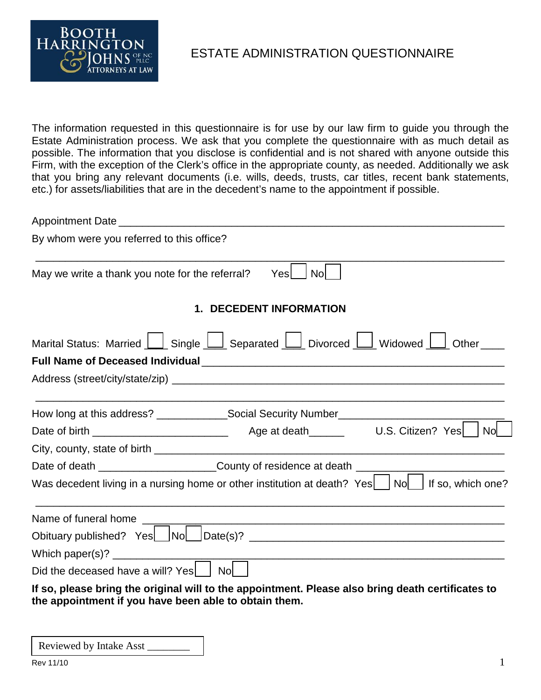

ESTATE ADMINISTRATION QUESTIONNAIRE

The information requested in this questionnaire is for use by our law firm to guide you through the Estate Administration process. We ask that you complete the questionnaire with as much detail as possible. The information that you disclose is confidential and is not shared with anyone outside this Firm, with the exception of the Clerk's office in the appropriate county, as needed. Additionally we ask that you bring any relevant documents (i.e. wills, deeds, trusts, car titles, recent bank statements, etc.) for assets/liabilities that are in the decedent's name to the appointment if possible.

| By whom were you referred to this office?                                                                                                                  |
|------------------------------------------------------------------------------------------------------------------------------------------------------------|
| <b>No</b><br>May we write a thank you note for the referral?<br>Yesl                                                                                       |
| <b>1. DECEDENT INFORMATION</b>                                                                                                                             |
| Marital Status: Married   Single   Separated   J Divorced   J Widowed   J Other                                                                            |
|                                                                                                                                                            |
|                                                                                                                                                            |
|                                                                                                                                                            |
|                                                                                                                                                            |
|                                                                                                                                                            |
| Date of death _________________________County of residence at death _______________________________                                                        |
| Was decedent living in a nursing home or other institution at death? Yes   No   If so, which one?                                                          |
|                                                                                                                                                            |
|                                                                                                                                                            |
| <u> 1989 - Johann John Stone, markin sanadi amerikan bahasa dalam kemasaan dalam bahasa dalam bahasa dalam bahasa</u>                                      |
| Did the deceased have a will? Yes   Nol                                                                                                                    |
| If so, please bring the original will to the appointment. Please also bring death certificates to<br>the appointment if you have been able to obtain them. |

Reviewed by Intake Asst \_\_\_\_\_\_\_\_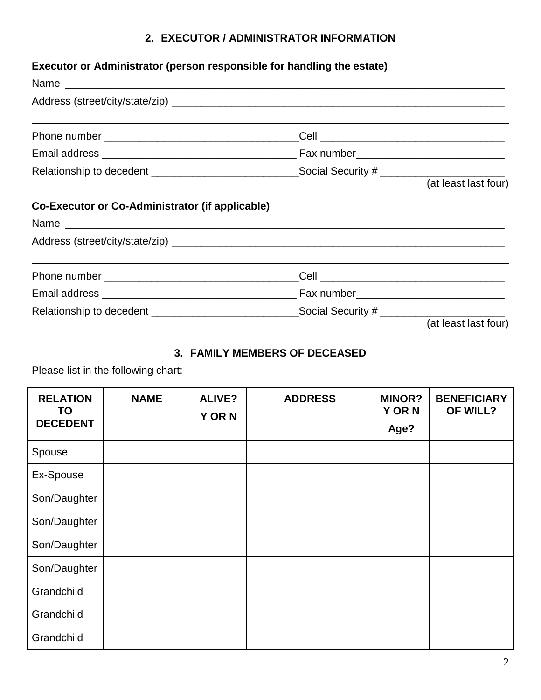# **2. EXECUTOR / ADMINISTRATOR INFORMATION**

# **Executor or Administrator (person responsible for handling the estate)**

| Relationship to decedent _________________________________Social Security # ________________________ |  |                      |
|------------------------------------------------------------------------------------------------------|--|----------------------|
|                                                                                                      |  | (at least last four) |
| Co-Executor or Co-Administrator (if applicable)                                                      |  |                      |
| Name                                                                                                 |  |                      |
|                                                                                                      |  |                      |
|                                                                                                      |  |                      |
|                                                                                                      |  |                      |
| Relationship to decedent __________________________________Social Security # ______________________  |  |                      |
|                                                                                                      |  | (at least last four) |

# **3. FAMILY MEMBERS OF DECEASED**

Please list in the following chart:

| <b>RELATION</b><br><b>TO</b><br><b>DECEDENT</b> | <b>NAME</b> | <b>ALIVE?</b><br><b>Y OR N</b> | <b>ADDRESS</b> | <b>MINOR?</b><br><b>Y OR N</b><br>Age? | <b>BENEFICIARY</b><br>OF WILL? |
|-------------------------------------------------|-------------|--------------------------------|----------------|----------------------------------------|--------------------------------|
| Spouse                                          |             |                                |                |                                        |                                |
| Ex-Spouse                                       |             |                                |                |                                        |                                |
| Son/Daughter                                    |             |                                |                |                                        |                                |
| Son/Daughter                                    |             |                                |                |                                        |                                |
| Son/Daughter                                    |             |                                |                |                                        |                                |
| Son/Daughter                                    |             |                                |                |                                        |                                |
| Grandchild                                      |             |                                |                |                                        |                                |
| Grandchild                                      |             |                                |                |                                        |                                |
| Grandchild                                      |             |                                |                |                                        |                                |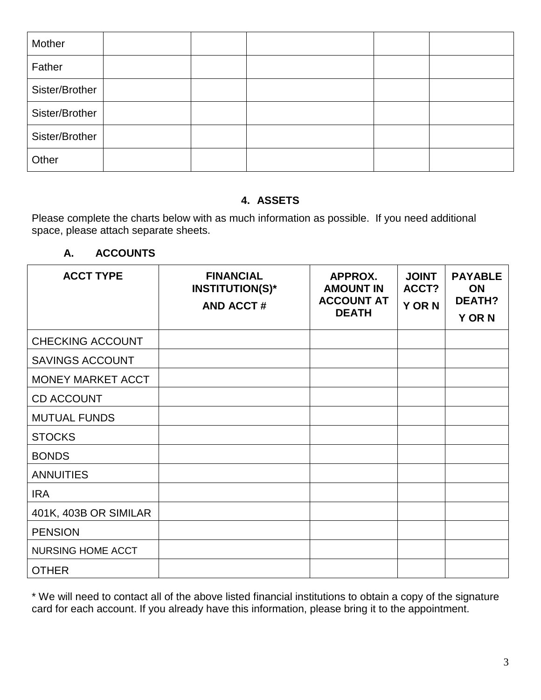| Mother         |  |  |  |
|----------------|--|--|--|
| Father         |  |  |  |
| Sister/Brother |  |  |  |
| Sister/Brother |  |  |  |
| Sister/Brother |  |  |  |
| Other          |  |  |  |

## **4. ASSETS**

Please complete the charts below with as much information as possible. If you need additional space, please attach separate sheets.

## **A. ACCOUNTS**

| <b>ACCT TYPE</b>         | <b>FINANCIAL</b><br><b>INSTITUTION(S)*</b><br><b>AND ACCT#</b> | APPROX.<br><b>AMOUNT IN</b><br><b>ACCOUNT AT</b><br><b>DEATH</b> | <b>JOINT</b><br>ACCT?<br><b>Y OR N</b> | <b>PAYABLE</b><br><b>ON</b><br><b>DEATH?</b><br><b>Y OR N</b> |
|--------------------------|----------------------------------------------------------------|------------------------------------------------------------------|----------------------------------------|---------------------------------------------------------------|
| <b>CHECKING ACCOUNT</b>  |                                                                |                                                                  |                                        |                                                               |
| <b>SAVINGS ACCOUNT</b>   |                                                                |                                                                  |                                        |                                                               |
| MONEY MARKET ACCT        |                                                                |                                                                  |                                        |                                                               |
| <b>CD ACCOUNT</b>        |                                                                |                                                                  |                                        |                                                               |
| <b>MUTUAL FUNDS</b>      |                                                                |                                                                  |                                        |                                                               |
| <b>STOCKS</b>            |                                                                |                                                                  |                                        |                                                               |
| <b>BONDS</b>             |                                                                |                                                                  |                                        |                                                               |
| <b>ANNUITIES</b>         |                                                                |                                                                  |                                        |                                                               |
| <b>IRA</b>               |                                                                |                                                                  |                                        |                                                               |
| 401K, 403B OR SIMILAR    |                                                                |                                                                  |                                        |                                                               |
| <b>PENSION</b>           |                                                                |                                                                  |                                        |                                                               |
| <b>NURSING HOME ACCT</b> |                                                                |                                                                  |                                        |                                                               |
| <b>OTHER</b>             |                                                                |                                                                  |                                        |                                                               |

\* We will need to contact all of the above listed financial institutions to obtain a copy of the signature card for each account. If you already have this information, please bring it to the appointment.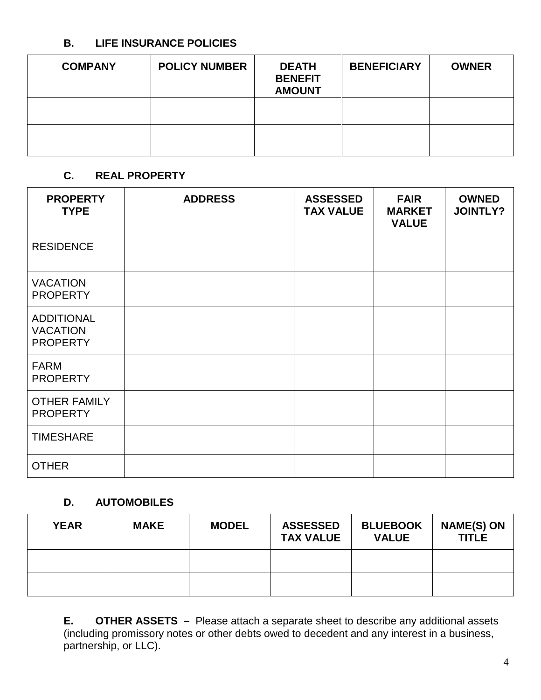#### **B. LIFE INSURANCE POLICIES**

| <b>COMPANY</b> | <b>POLICY NUMBER</b> | <b>DEATH</b><br><b>BENEFIT</b><br><b>AMOUNT</b> | <b>BENEFICIARY</b> | <b>OWNER</b> |
|----------------|----------------------|-------------------------------------------------|--------------------|--------------|
|                |                      |                                                 |                    |              |
|                |                      |                                                 |                    |              |

## **C. REAL PROPERTY**

| <b>PROPERTY</b><br><b>TYPE</b>                          | <b>ADDRESS</b> | <b>ASSESSED</b><br><b>TAX VALUE</b> | <b>FAIR</b><br><b>MARKET</b><br><b>VALUE</b> | <b>OWNED</b><br><b>JOINTLY?</b> |
|---------------------------------------------------------|----------------|-------------------------------------|----------------------------------------------|---------------------------------|
| <b>RESIDENCE</b>                                        |                |                                     |                                              |                                 |
| <b>VACATION</b><br><b>PROPERTY</b>                      |                |                                     |                                              |                                 |
| <b>ADDITIONAL</b><br><b>VACATION</b><br><b>PROPERTY</b> |                |                                     |                                              |                                 |
| <b>FARM</b><br><b>PROPERTY</b>                          |                |                                     |                                              |                                 |
| <b>OTHER FAMILY</b><br><b>PROPERTY</b>                  |                |                                     |                                              |                                 |
| <b>TIMESHARE</b>                                        |                |                                     |                                              |                                 |
| <b>OTHER</b>                                            |                |                                     |                                              |                                 |

#### **D. AUTOMOBILES**

| <b>YEAR</b> | <b>MAKE</b> | <b>MODEL</b> | <b>ASSESSED</b><br><b>TAX VALUE</b> | <b>BLUEBOOK</b><br><b>VALUE</b> | <b>NAME(S) ON</b><br><b>TITLE</b> |
|-------------|-------------|--------------|-------------------------------------|---------------------------------|-----------------------------------|
|             |             |              |                                     |                                 |                                   |
|             |             |              |                                     |                                 |                                   |

**E. OTHER ASSETS –** Please attach a separate sheet to describe any additional assets (including promissory notes or other debts owed to decedent and any interest in a business, partnership, or LLC).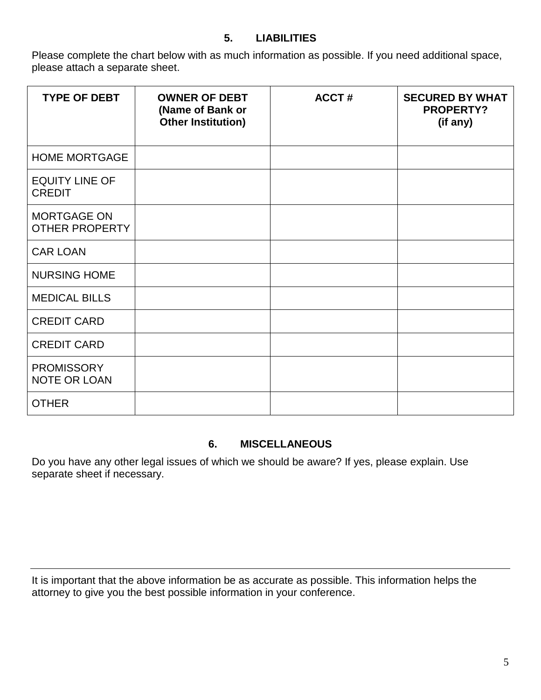## **5. LIABILITIES**

Please complete the chart below with as much information as possible. If you need additional space, please attach a separate sheet.

| <b>TYPE OF DEBT</b>                         | <b>OWNER OF DEBT</b><br>(Name of Bank or<br><b>Other Institution)</b> | <b>ACCT#</b> | <b>SECURED BY WHAT</b><br><b>PROPERTY?</b><br>(if any) |
|---------------------------------------------|-----------------------------------------------------------------------|--------------|--------------------------------------------------------|
| <b>HOME MORTGAGE</b>                        |                                                                       |              |                                                        |
| <b>EQUITY LINE OF</b><br><b>CREDIT</b>      |                                                                       |              |                                                        |
| <b>MORTGAGE ON</b><br><b>OTHER PROPERTY</b> |                                                                       |              |                                                        |
| <b>CAR LOAN</b>                             |                                                                       |              |                                                        |
| <b>NURSING HOME</b>                         |                                                                       |              |                                                        |
| <b>MEDICAL BILLS</b>                        |                                                                       |              |                                                        |
| <b>CREDIT CARD</b>                          |                                                                       |              |                                                        |
| <b>CREDIT CARD</b>                          |                                                                       |              |                                                        |
| <b>PROMISSORY</b><br><b>NOTE OR LOAN</b>    |                                                                       |              |                                                        |
| <b>OTHER</b>                                |                                                                       |              |                                                        |

#### **6. MISCELLANEOUS**

Do you have any other legal issues of which we should be aware? If yes, please explain. Use separate sheet if necessary.

It is important that the above information be as accurate as possible. This information helps the attorney to give you the best possible information in your conference.